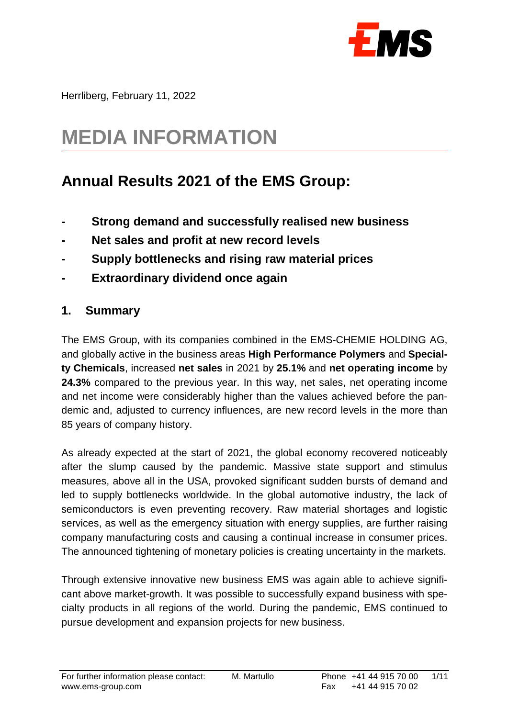

Herrliberg, February 11, 2022

# **MEDIA INFORMATION**

## **Annual Results 2021 of the EMS Group:**

- **- Strong demand and successfully realised new business**
- **- Net sales and profit at new record levels**
- **- Supply bottlenecks and rising raw material prices**
- **- Extraordinary dividend once again**

#### **1. Summary**

The EMS Group, with its companies combined in the EMS-CHEMIE HOLDING AG, and globally active in the business areas **High Performance Polymers** and **Specialty Chemicals**, increased **net sales** in 2021 by **25.1%** and **net operating income** by **24.3%** compared to the previous year. In this way, net sales, net operating income and net income were considerably higher than the values achieved before the pandemic and, adjusted to currency influences, are new record levels in the more than 85 years of company history.

As already expected at the start of 2021, the global economy recovered noticeably after the slump caused by the pandemic. Massive state support and stimulus measures, above all in the USA, provoked significant sudden bursts of demand and led to supply bottlenecks worldwide. In the global automotive industry, the lack of semiconductors is even preventing recovery. Raw material shortages and logistic services, as well as the emergency situation with energy supplies, are further raising company manufacturing costs and causing a continual increase in consumer prices. The announced tightening of monetary policies is creating uncertainty in the markets.

Through extensive innovative new business EMS was again able to achieve significant above market-growth. It was possible to successfully expand business with specialty products in all regions of the world. During the pandemic, EMS continued to pursue development and expansion projects for new business.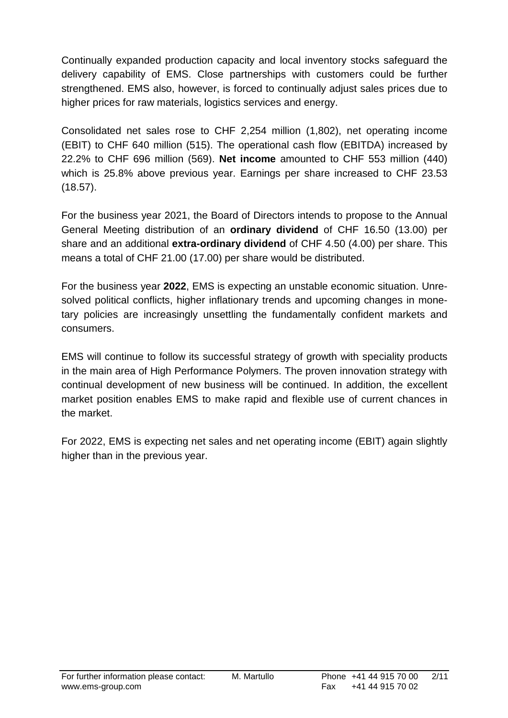Continually expanded production capacity and local inventory stocks safeguard the delivery capability of EMS. Close partnerships with customers could be further strengthened. EMS also, however, is forced to continually adjust sales prices due to higher prices for raw materials, logistics services and energy.

Consolidated net sales rose to CHF 2,254 million (1,802), net operating income (EBIT) to CHF 640 million (515). The operational cash flow (EBITDA) increased by 22.2% to CHF 696 million (569). **Net income** amounted to CHF 553 million (440) which is 25.8% above previous year. Earnings per share increased to CHF 23.53 (18.57).

For the business year 2021, the Board of Directors intends to propose to the Annual General Meeting distribution of an **ordinary dividend** of CHF 16.50 (13.00) per share and an additional **extra-ordinary dividend** of CHF 4.50 (4.00) per share. This means a total of CHF 21.00 (17.00) per share would be distributed.

For the business year **2022**, EMS is expecting an unstable economic situation. Unresolved political conflicts, higher inflationary trends and upcoming changes in monetary policies are increasingly unsettling the fundamentally confident markets and consumers.

EMS will continue to follow its successful strategy of growth with speciality products in the main area of High Performance Polymers. The proven innovation strategy with continual development of new business will be continued. In addition, the excellent market position enables EMS to make rapid and flexible use of current chances in the market.

For 2022, EMS is expecting net sales and net operating income (EBIT) again slightly higher than in the previous year.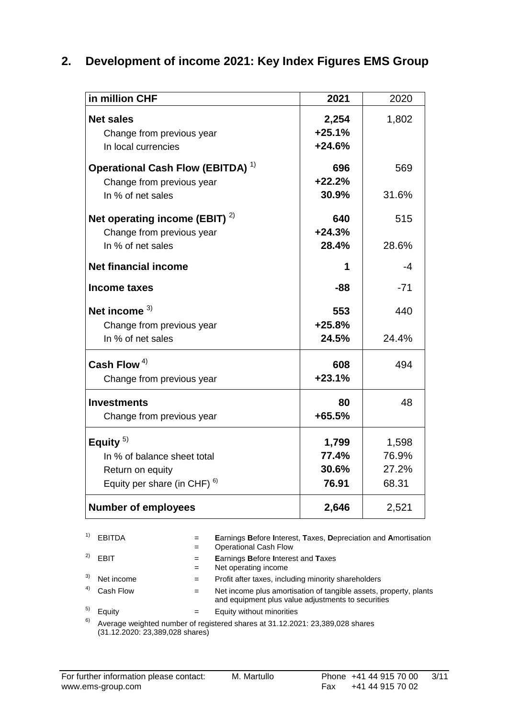#### **2. Development of income 2021: Key Index Figures EMS Group**

| in million CHF                               | 2021     | 2020  |
|----------------------------------------------|----------|-------|
| <b>Net sales</b>                             | 2,254    | 1,802 |
| Change from previous year                    | $+25.1%$ |       |
| In local currencies                          | $+24.6%$ |       |
| Operational Cash Flow (EBITDA) <sup>1)</sup> | 696      | 569   |
|                                              | $+22.2%$ |       |
| Change from previous year                    | 30.9%    | 31.6% |
| In % of net sales                            |          |       |
| Net operating income (EBIT) $2)$             | 640      | 515   |
| Change from previous year                    | $+24.3%$ |       |
| In % of net sales                            | 28.4%    | 28.6% |
| <b>Net financial income</b>                  | 1        | -4    |
|                                              |          |       |
| <b>Income taxes</b>                          | $-88$    | $-71$ |
| Net income $3)$                              | 553      | 440   |
| Change from previous year                    | $+25.8%$ |       |
| In % of net sales                            | 24.5%    | 24.4% |
| Cash Flow $4)$                               | 608      | 494   |
|                                              | $+23.1%$ |       |
| Change from previous year                    |          |       |
| <b>Investments</b>                           | 80       | 48    |
| Change from previous year                    | +65.5%   |       |
| Equity $5$ )                                 | 1,799    | 1,598 |
| In % of balance sheet total                  | 77.4%    | 76.9% |
| Return on equity                             | 30.6%    | 27.2% |
| Equity per share (in CHF) $6$ )              | 76.91    | 68.31 |
|                                              |          |       |
| <b>Number of employees</b>                   | 2,646    | 2,521 |

1) EBITDA = **E**arnings **B**efore **I**nterest, **T**axes, **D**epreciation and **A**mortisation = Operational Cash Flow <sup>2)</sup> EBIT = **E**arnings **B**efore Interest and **T**axes = Net operating income <sup>3)</sup> Net income  $=$  Profit after taxes, including minority shareholders <sup>4)</sup> Cash Flow  $=$  Net income plus amortisation of tangible assets, property, plants and equipment plus value adjustments to securities  $5)$  Equity  $=$  Equity without minorities  $6)$  Average weighted number of registered shares at 31.12.2021: 23,389,028 shares

(31.12.2020: 23,389,028 shares)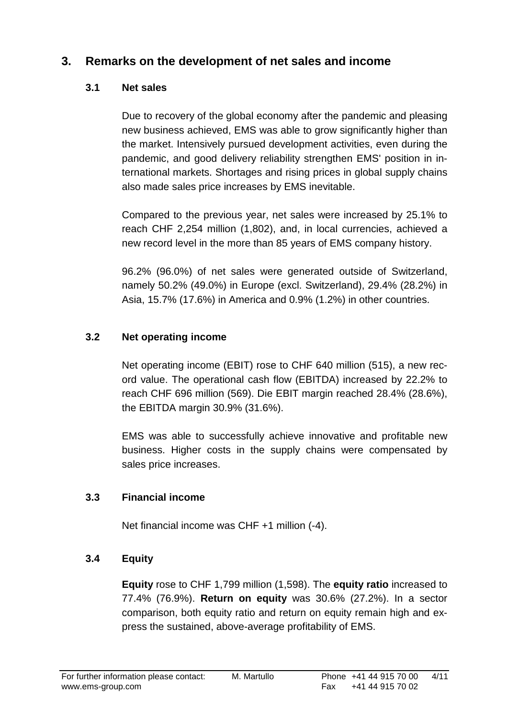## **3. Remarks on the development of net sales and income**

#### **3.1 Net sales**

Due to recovery of the global economy after the pandemic and pleasing new business achieved, EMS was able to grow significantly higher than the market. Intensively pursued development activities, even during the pandemic, and good delivery reliability strengthen EMS' position in international markets. Shortages and rising prices in global supply chains also made sales price increases by EMS inevitable.

Compared to the previous year, net sales were increased by 25.1% to reach CHF 2,254 million (1,802), and, in local currencies, achieved a new record level in the more than 85 years of EMS company history.

96.2% (96.0%) of net sales were generated outside of Switzerland, namely 50.2% (49.0%) in Europe (excl. Switzerland), 29.4% (28.2%) in Asia, 15.7% (17.6%) in America and 0.9% (1.2%) in other countries.

#### **3.2 Net operating income**

Net operating income (EBIT) rose to CHF 640 million (515), a new record value. The operational cash flow (EBITDA) increased by 22.2% to reach CHF 696 million (569). Die EBIT margin reached 28.4% (28.6%), the EBITDA margin 30.9% (31.6%).

EMS was able to successfully achieve innovative and profitable new business. Higher costs in the supply chains were compensated by sales price increases.

#### **3.3 Financial income**

Net financial income was CHF +1 million (-4).

#### **3.4 Equity**

**Equity** rose to CHF 1,799 million (1,598). The **equity ratio** increased to 77.4% (76.9%). **Return on equity** was 30.6% (27.2%). In a sector comparison, both equity ratio and return on equity remain high and express the sustained, above-average profitability of EMS.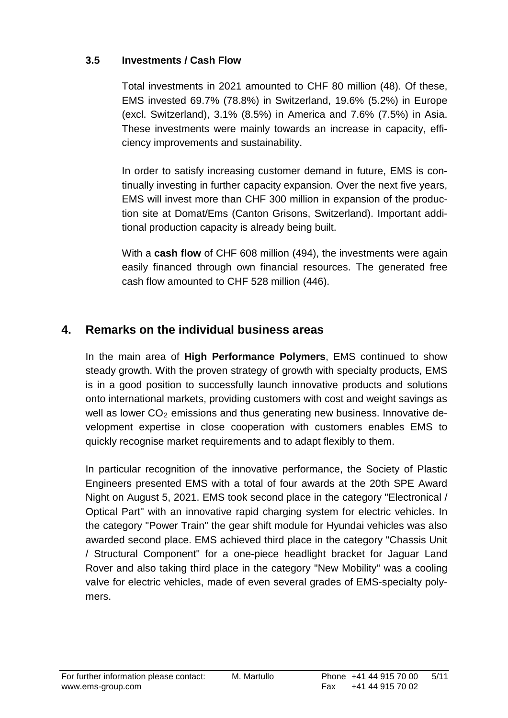#### **3.5 Investments / Cash Flow**

Total investments in 2021 amounted to CHF 80 million (48). Of these, EMS invested 69.7% (78.8%) in Switzerland, 19.6% (5.2%) in Europe (excl. Switzerland), 3.1% (8.5%) in America and 7.6% (7.5%) in Asia. These investments were mainly towards an increase in capacity, efficiency improvements and sustainability.

In order to satisfy increasing customer demand in future, EMS is continually investing in further capacity expansion. Over the next five years, EMS will invest more than CHF 300 million in expansion of the production site at Domat/Ems (Canton Grisons, Switzerland). Important additional production capacity is already being built.

With a **cash flow** of CHF 608 million (494), the investments were again easily financed through own financial resources. The generated free cash flow amounted to CHF 528 million (446).

## **4. Remarks on the individual business areas**

In the main area of **High Performance Polymers**, EMS continued to show steady growth. With the proven strategy of growth with specialty products, EMS is in a good position to successfully launch innovative products and solutions onto international markets, providing customers with cost and weight savings as well as lower  $CO<sub>2</sub>$  emissions and thus generating new business. Innovative development expertise in close cooperation with customers enables EMS to quickly recognise market requirements and to adapt flexibly to them.

In particular recognition of the innovative performance, the Society of Plastic Engineers presented EMS with a total of four awards at the 20th SPE Award Night on August 5, 2021. EMS took second place in the category "Electronical / Optical Part" with an innovative rapid charging system for electric vehicles. In the category "Power Train" the gear shift module for Hyundai vehicles was also awarded second place. EMS achieved third place in the category "Chassis Unit / Structural Component" for a one-piece headlight bracket for Jaguar Land Rover and also taking third place in the category "New Mobility" was a cooling valve for electric vehicles, made of even several grades of EMS-specialty polymers.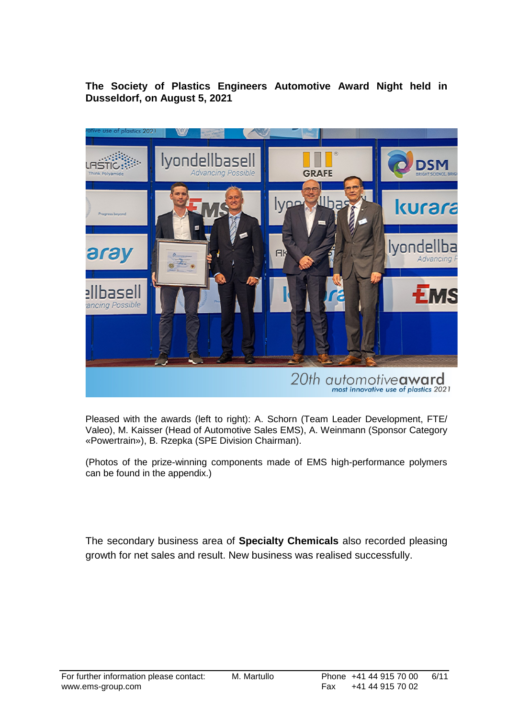**The Society of Plastics Engineers Automotive Award Night held in Dusseldorf, on August 5, 2021**



Pleased with the awards (left to right): A. Schorn (Team Leader Development, FTE/ Valeo), M. Kaisser (Head of Automotive Sales EMS), A. Weinmann (Sponsor Category «Powertrain»), B. Rzepka (SPE Division Chairman).

(Photos of the prize-winning components made of EMS high-performance polymers can be found in the appendix.)

The secondary business area of **Specialty Chemicals** also recorded pleasing growth for net sales and result. New business was realised successfully.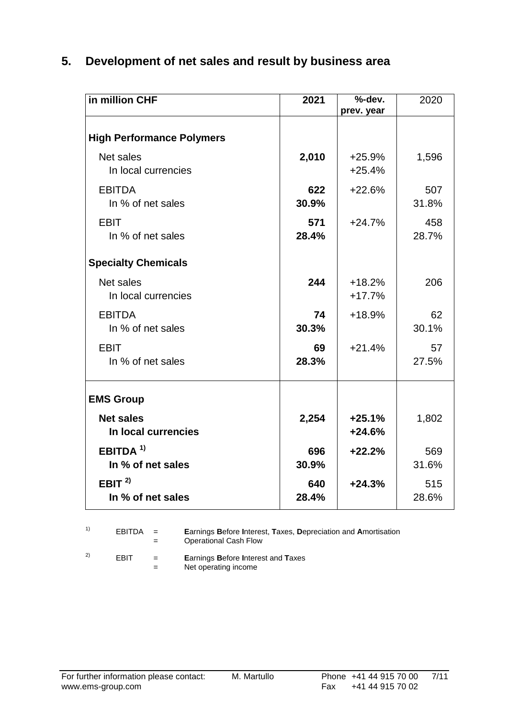## **5. Development of net sales and result by business area**

| in million CHF                            | 2021         | %-dev.<br>prev. year | 2020         |  |  |  |
|-------------------------------------------|--------------|----------------------|--------------|--|--|--|
|                                           |              |                      |              |  |  |  |
| <b>High Performance Polymers</b>          |              |                      |              |  |  |  |
| Net sales<br>In local currencies          | 2,010        | $+25.9%$<br>$+25.4%$ | 1,596        |  |  |  |
| <b>EBITDA</b><br>In % of net sales        | 622<br>30.9% | $+22.6%$             | 507<br>31.8% |  |  |  |
| <b>EBIT</b><br>In % of net sales          | 571<br>28.4% | $+24.7%$             | 458<br>28.7% |  |  |  |
| <b>Specialty Chemicals</b>                |              |                      |              |  |  |  |
| Net sales<br>In local currencies          | 244          | $+18.2%$<br>$+17.7%$ | 206          |  |  |  |
| <b>EBITDA</b><br>In % of net sales        | 74<br>30.3%  | $+18.9%$             | 62<br>30.1%  |  |  |  |
| <b>EBIT</b><br>In % of net sales          | 69<br>28.3%  | $+21.4%$             | 57<br>27.5%  |  |  |  |
| <b>EMS Group</b>                          |              |                      |              |  |  |  |
| <b>Net sales</b><br>In local currencies   | 2,254        | $+25.1%$<br>$+24.6%$ | 1,802        |  |  |  |
| EBITDA <sup>1)</sup><br>In % of net sales | 696<br>30.9% | $+22.2%$             | 569<br>31.6% |  |  |  |
| EBIT $2$<br>In % of net sales             | 640<br>28.4% | $+24.3%$             | 515<br>28.6% |  |  |  |

| $EBITDA =$ | $=$ | <b>Earnings Before Interest, Taxes, Depreciation and Amortisation</b><br>Operational Cash Flow |
|------------|-----|------------------------------------------------------------------------------------------------|
|            |     |                                                                                                |

2) EBIT = **E**arnings **B**efore **I**nterest and **T**axes = Net operating income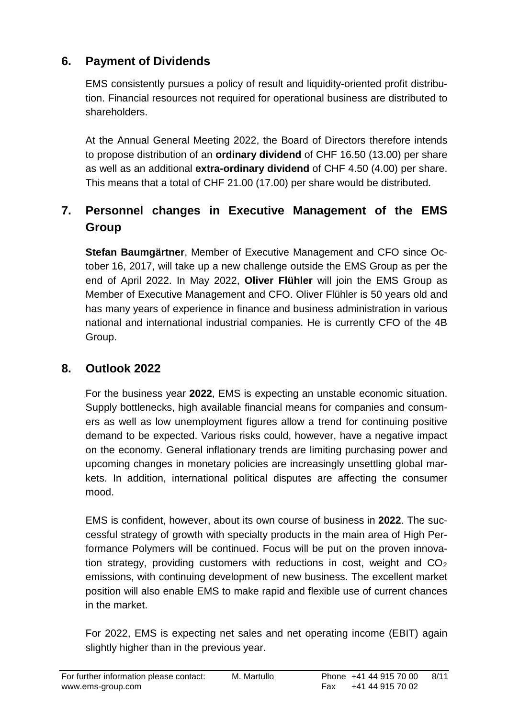## **6. Payment of Dividends**

EMS consistently pursues a policy of result and liquidity-oriented profit distribution. Financial resources not required for operational business are distributed to shareholders.

At the Annual General Meeting 2022, the Board of Directors therefore intends to propose distribution of an **ordinary dividend** of CHF 16.50 (13.00) per share as well as an additional **extra-ordinary dividend** of CHF 4.50 (4.00) per share. This means that a total of CHF 21.00 (17.00) per share would be distributed.

## **7. Personnel changes in Executive Management of the EMS Group**

**Stefan Baumgärtner**, Member of Executive Management and CFO since October 16, 2017, will take up a new challenge outside the EMS Group as per the end of April 2022. In May 2022, **Oliver Flühler** will join the EMS Group as Member of Executive Management and CFO. Oliver Flühler is 50 years old and has many years of experience in finance and business administration in various national and international industrial companies. He is currently CFO of the 4B Group.

### **8. Outlook 2022**

For the business year **2022**, EMS is expecting an unstable economic situation. Supply bottlenecks, high available financial means for companies and consumers as well as low unemployment figures allow a trend for continuing positive demand to be expected. Various risks could, however, have a negative impact on the economy. General inflationary trends are limiting purchasing power and upcoming changes in monetary policies are increasingly unsettling global markets. In addition, international political disputes are affecting the consumer mood.

EMS is confident, however, about its own course of business in **2022**. The successful strategy of growth with specialty products in the main area of High Performance Polymers will be continued. Focus will be put on the proven innovation strategy, providing customers with reductions in cost, weight and  $CO<sub>2</sub>$ emissions, with continuing development of new business. The excellent market position will also enable EMS to make rapid and flexible use of current chances in the market.

For 2022, EMS is expecting net sales and net operating income (EBIT) again slightly higher than in the previous year.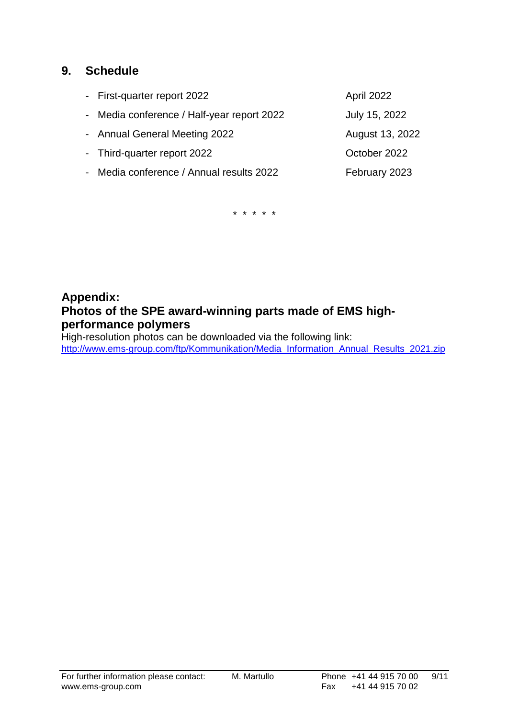#### **9. Schedule**

| - First-quarter report 2022                | April 2022      |
|--------------------------------------------|-----------------|
| - Media conference / Half-year report 2022 | July 15, 2022   |
| - Annual General Meeting 2022              | August 13, 2022 |
| - Third-quarter report 2022                | October 2022    |
| - Media conference / Annual results 2022   | February 2023   |
|                                            |                 |

\* \* \* \* \*

## **Appendix: Photos of the SPE award-winning parts made of EMS highperformance polymers**

High-resolution photos can be downloaded via the following link: [http://www.ems-group.com/ftp/Kommunikation/Media\\_Information\\_Annual\\_Results\\_2021.zip](http://www.ems-group.com/ftp/Kommunikation/Media_Information_Annual_Results_2021.zip)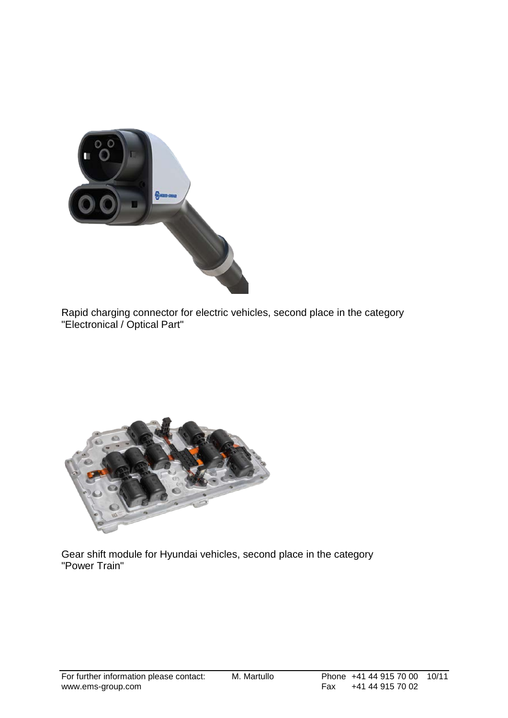

Rapid charging connector for electric vehicles, second place in the category "Electronical / Optical Part"



Gear shift module for Hyundai vehicles, second place in the category "Power Train"